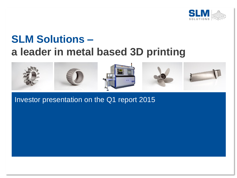

# **SLM Solutions – a leader in metal based 3D printing**



Investor presentation on the Q1 report 2015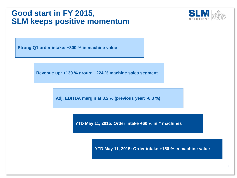#### **Good start in FY 2015, SLM keeps positive momentum**



**Strong Q1 order intake: +300 % in machine value**

**Revenue up: +130 % group; +224 % machine sales segment** 

**Adj. EBITDA margin at 3.2 % (previous year: -6.3 %)**

**YTD May 11, 2015: Order intake +60 % in # machines**

**YTD May 11, 2015: Order intake +150 % in machine value**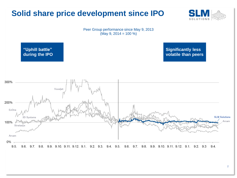# **Solid share price development since IPO**





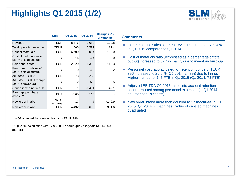# **Highlights Q1 2015 (1/2)**



|                                                   | <b>Unit</b>        | Q1 2015 | Q1 2014  | Change in %<br>or % points |
|---------------------------------------------------|--------------------|---------|----------|----------------------------|
| Revenue                                           | TEUR               | 8,476   | 3,689    | $+129.8$                   |
| Total operating revenue                           | TEUR               | 11,683  | 5,527    | $+111.4$                   |
| Cost of materials                                 | TEUR               | 6,700   | 3,004    | $+123.0$                   |
| Cost of materials ratio<br>(as % of total output) | %                  | 57.4    | 54.4     | $+3.0$                     |
| Personnel costs*                                  | TEUR               | 2,920   | 1,369    | $+113.3$                   |
| Personnel costs ratio*<br>(as % of total output)  | %                  | 25.0    | 24.8     | $+0.2$                     |
| <b>Adjusted EBITDA</b>                            | TEUR               | 273     | $-233$   |                            |
| Adjusted EBITDA margin<br>(as % of revenue)       | %                  | 3.2     | $-6.3$   | $+9.5$                     |
| Consolidated net result                           | TEUR               | $-811$  | $-1,401$ | $-42.1$                    |
| Earnings per share<br>(basic)**                   | <b>EUR</b>         | $-0.05$ | $-0.10$  |                            |
| New order intake                                  | No. of<br>machines | 17      | 7        | $+142.9$                   |
| New order intake                                  | TEUR               | 14,432  | 3,603    | $+301.6$                   |

\* In Q1 adjusted for retention bonus of TEUR 396

\*\* Q1 2015 calculation with 17,980,867 shares (previous year: 13,814,200 shares)

#### **Comments**

- In the machine sales segment revenue increased by 224 % in Q1 2015 compared to Q1 2014
- Cost of materials ratio (expressed as a percentage of total output) increased to 57.4% mainly due to inventory build-up
- **Personnel cost ratio adjusted for retention bonus of TEUR** 396 increased to 25.0 % (Q1 2014: 24.8%) due to hiring. Higher number of 145 FTE in Q1 2015 (Q1 2014: 78 FTE)
- Adjusted EBITDA Q1 2015 takes into account retention bonus reported among personnel expenses (in Q1 2014 adjusted for IPO costs)
- New order intake more than doubled to 17 machines in Q1 2015 (Q1 2014: 7 machines), value of ordered machines quadrupled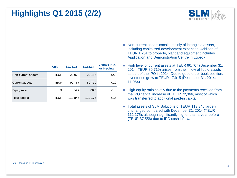# **Highlights Q1 2015 (2/2)**



|                    | <b>Unit</b> | 31.03.15 | 31.12.14 | Change in %<br>or % points |
|--------------------|-------------|----------|----------|----------------------------|
| Non-current assets | TEUR        | 23,078   | 22,456   | $+2.8$                     |
| Current assets     | TEUR        | 90,767   | 89,719   | $+1.2$                     |
| Equity ratio       | ℅           | 84.7     | 86.5     | $-1.8$                     |
| Total assets       | TEUR        | 113.845  | 112,175  | $+1.5$                     |

- Non-current assets consist mainly of intangible assets, including capitalized development expenses. Addition of TEUR 1,251 to property, plant and equipment includes Application and Demonstration Centre in Lübeck
- High level of current assets at TEUR 90,767 (December 31, 2014: TEUR 89,719) arises from the inflow of liquid assets as part of the IPO in 2014. Due to good order book position, inventories grew to TEUR 17,915 (December 31, 2014: 11,964)
- **High equity ratio chiefly due to the payments received from** the IPO capital increase of TEUR 72,366, most of which was transferred to additional paid-in capital.
- Total assets of SLM Solutions of TEUR 113,845 largely unchanged compared with December 31, 2014 (TEUR 112,175), although significantly higher than a year before (TEUR 37,556) due to IPO cash inflow.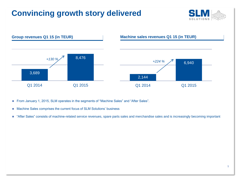# **Convincing growth story delivered**





- From January 1, 2015, SLM operates in the segments of "Machine Sales" and "After Sales".
- Machine Sales comprises the current focus of SLM Solutions' business
- "After Sales" consists of machine-related service revenues, spare parts sales and merchandise sales and is increasingly becoming important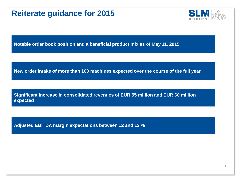# **Reiterate guidance for 2015**



**Notable order book position and a beneficial product mix as of May 11, 2015**

**New order intake of more than 100 machines expected over the course of the full year**

**Significant increase in consolidated revenues of EUR 55 million and EUR 60 million expected**

**Adjusted EBITDA margin expectations between 12 and 13 %**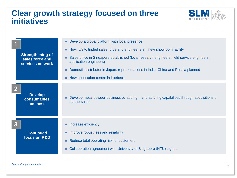### **Clear growth strategy focused on three initiatives**



|                                                                | Develop a global platform with local presence                                                                                                                               |
|----------------------------------------------------------------|-----------------------------------------------------------------------------------------------------------------------------------------------------------------------------|
|                                                                | Novi, USA: tripled sales force and engineer staff, new showroom facility                                                                                                    |
| <b>Strengthening of</b><br>sales force and<br>services network | Sales office in Singapore established (local research engineers, field service engineers,<br>application engineers)                                                         |
|                                                                | Domestic distributor in Japan; representations in India, China and Russia planned                                                                                           |
|                                                                | New application centre in Luebeck                                                                                                                                           |
| <b>Develop</b><br>consumables<br><b>business</b>               | Develop metal powder business by adding manufacturing capabilities through acquisitions or<br>partnerships                                                                  |
| <b>Continued</b><br>focus on R&D                               | Increase efficiency<br>Improve robustness and reliability<br>Reduce total operating risk for customers<br>Collaboration agreement with University of Singapore (NTU) signed |
|                                                                |                                                                                                                                                                             |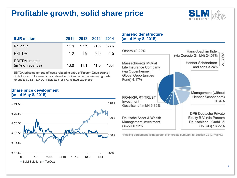# **Profitable growth, solid share price**



| <b>EUR million</b>                              | 2011 | 2012 2013 |               | 2014 |
|-------------------------------------------------|------|-----------|---------------|------|
| Revenue                                         | 11.9 |           | 17.5 21.6     | 33.6 |
| EBITDA <sup>1</sup>                             | 12   | 1.9       | 25            | 4.5  |
| EBITDA <sup>1</sup> margin<br>(in % of revenue) | 10 O |           | $11.1$ $11.5$ | 134  |

<sup>1</sup> EBITDA adjusted for one-off costs related to entry of Parcom Deutschland | GmbH & Co. KG, one-off costs related to IPO and other non-recurring costs (unaudited). EBITDA 2014 adjusted for IPO-related expenses

#### **Share price development (as of May 8, 2015)**



#### **Shareholder structure (as of May 8, 2015)**



\*Pooling agreement: joint pursuit of interests pursuant to Section 22 (2) WpHG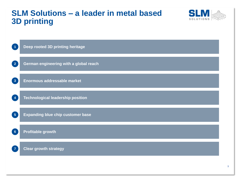### **SLM Solutions – a leader in metal based 3D printing**



**1 Deep rooted 3D printing heritage** 

**German engineering with a global reach**

**3 Enormous addressable market** 

**Technological leadership position**

**5 Expanding blue chip customer base** 

**Profitable growth 6**

**2**

**4**

**7**

**Clear growth strategy**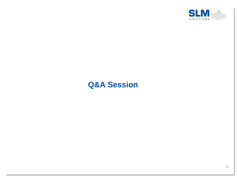

# **Q&A Session**